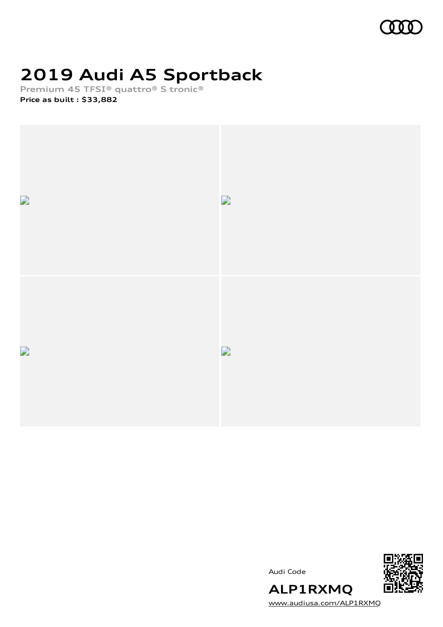

# **2019 Audi A5 Sportback**

**Premium 45 TFSI® quattro® S tronic®**

**Price as built [:](#page-9-0) \$33,882**







[www.audiusa.com/ALP1RXMQ](https://www.audiusa.com/ALP1RXMQ)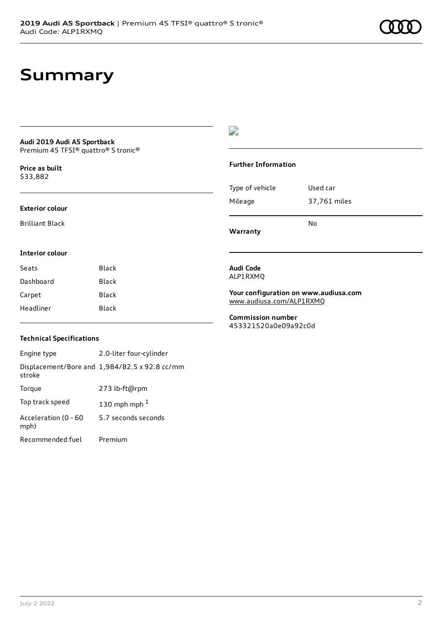# **Summary**

#### **Audi 2019 Audi A5 Sportback** Premium 45 TFSI® quattro® S tronic®

**Price as buil[t](#page-9-0)** \$33,882

#### **Exterior colour**

Brilliant Black

**Interior colour**

### D

#### **Further Information**

|                 | N٥           |
|-----------------|--------------|
| Mileage         | 37,761 miles |
| Type of vehicle | Used car     |

### **Warranty**

#### **Audi Code** ALP1RXMQ

**Your configuration on www.audiusa.com** [www.audiusa.com/ALP1RXMQ](https://www.audiusa.com/ALP1RXMQ)

**Commission number** 453321520a0e09a92c0d

### **Technical Specifications**

Seats Black Dashboard Black Carpet Black Headliner Black

Engine type 2.0-liter four-cylinder Displacement/Bore and 1,984/82.5 x 92.8 cc/mm stroke Torque 273 lb-ft@rpm Top track speed  $130$  $130$  mph mph  $^{\rm 1}$ Acceleration (0 - 60 mph) 5.7 seconds seconds Recommended fuel Premium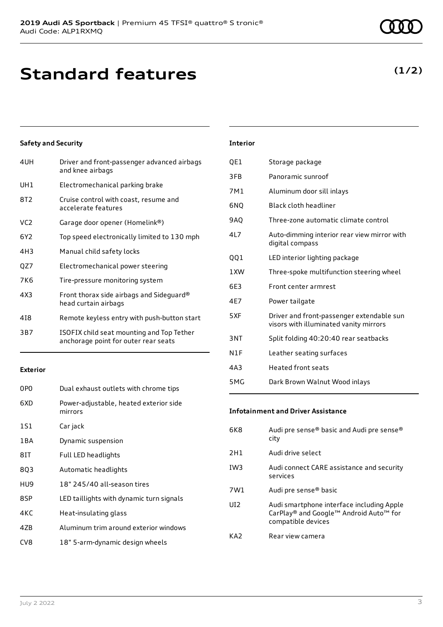# **Standard features**

### **Safety and Security**

| 4UH             | Driver and front-passenger advanced airbags<br>and knee airbags                   |
|-----------------|-----------------------------------------------------------------------------------|
| UH1             | Electromechanical parking brake                                                   |
| 8T2             | Cruise control with coast, resume and<br>accelerate features                      |
| VC <sub>2</sub> | Garage door opener (Homelink®)                                                    |
| 6Y2             | Top speed electronically limited to 130 mph                                       |
| 4H3             | Manual child safety locks                                                         |
| QZ7             | Electromechanical power steering                                                  |
| 7K6             | Tire-pressure monitoring system                                                   |
| 4X3             | Front thorax side airbags and Sideguard®<br>head curtain airbags                  |
| 418             | Remote keyless entry with push-button start                                       |
| 3B7             | ISOFIX child seat mounting and Top Tether<br>anchorage point for outer rear seats |
|                 |                                                                                   |

#### **Exterior**

| 0P <sub>0</sub> | Dual exhaust outlets with chrome tips             |
|-----------------|---------------------------------------------------|
| 6XD             | Power-adjustable, heated exterior side<br>mirrors |
| 1S1             | Car jack                                          |
| 1 B A           | Dynamic suspension                                |
| 8IT             | Full LED headlights                               |
| 8Q3             | Automatic headlights                              |
| HU9             | 18" 245/40 all-season tires                       |
| 8SP             | LED taillights with dynamic turn signals          |
| 4KC             | Heat-insulating glass                             |
| 4ZB             | Aluminum trim around exterior windows             |
| CV <sub>8</sub> | 18" 5-arm-dynamic design wheels                   |

### **Interior**

| QE1        | Storage package                                                                     |
|------------|-------------------------------------------------------------------------------------|
| 3FB        | Panoramic sunroof                                                                   |
| 7M1        | Aluminum door sill inlays                                                           |
| 6NO        | Black cloth headliner                                                               |
| <b>9AQ</b> | Three-zone automatic climate control                                                |
| 4L7        | Auto-dimming interior rear view mirror with<br>digital compass                      |
| QQ1        | LED interior lighting package                                                       |
| 1 XW       | Three-spoke multifunction steering wheel                                            |
| 6E3        | Front center armrest                                                                |
| 4E7        | Power tailgate                                                                      |
| 5XF        | Driver and front-passenger extendable sun<br>visors with illuminated vanity mirrors |
| 3NT        | Split folding 40:20:40 rear seatbacks                                               |
| N1F        | Leather seating surfaces                                                            |
| 4A3        | <b>Heated front seats</b>                                                           |
| 5MG        | Dark Brown Walnut Wood inlays                                                       |

### **Infotainment and Driver Assistance**

| 6K8             | Audi pre sense® basic and Audi pre sense®<br>city                                                         |
|-----------------|-----------------------------------------------------------------------------------------------------------|
| 2H1             | Audi drive select                                                                                         |
| IW <sub>3</sub> | Audi connect CARE assistance and security<br>services                                                     |
| 7W1             | Audi pre sense <sup>®</sup> basic                                                                         |
| UD.             | Audi smartphone interface including Apple<br>CarPlay® and Google™ Android Auto™ for<br>compatible devices |
| KA2             | Rear view camera                                                                                          |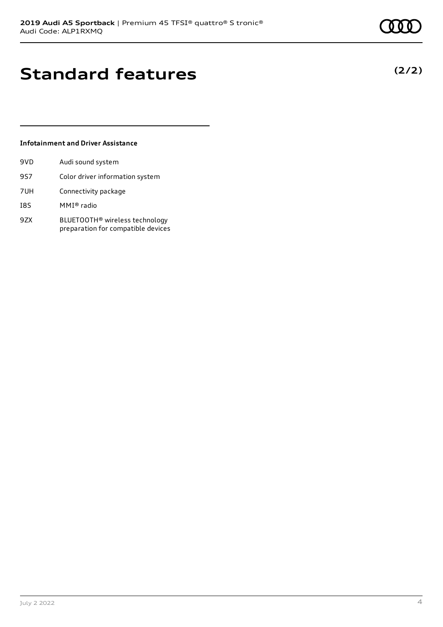**(2/2)**

# **Standard features**

### **Infotainment and Driver Assistance**

| 9VD | Audi sound system                                                                |
|-----|----------------------------------------------------------------------------------|
| 9S7 | Color driver information system                                                  |
| 7UH | Connectivity package                                                             |
| 18S | $MMI®$ radio                                                                     |
| 9ZX | BLUETOOTH <sup>®</sup> wireless technology<br>preparation for compatible devices |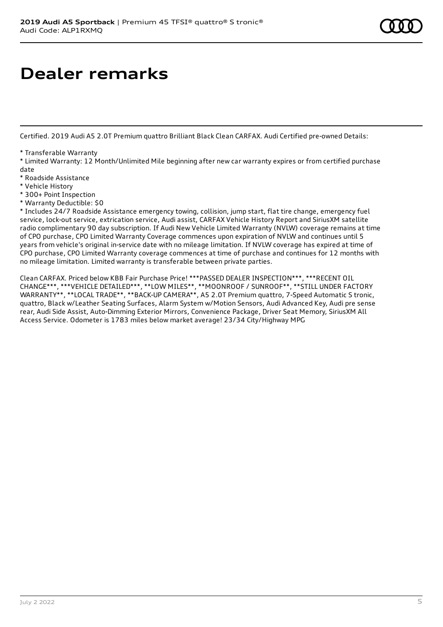# **Dealer remarks**

Certified. 2019 Audi A5 2.0T Premium quattro Brilliant Black Clean CARFAX. Audi Certified pre-owned Details:

\* Transferable Warranty

\* Limited Warranty: 12 Month/Unlimited Mile beginning after new car warranty expires or from certified purchase date

- \* Roadside Assistance
- \* Vehicle History
- \* 300+ Point Inspection
- \* Warranty Deductible: \$0

\* Includes 24/7 Roadside Assistance emergency towing, collision, jump start, flat tire change, emergency fuel service, lock-out service, extrication service, Audi assist, CARFAX Vehicle History Report and SiriusXM satellite radio complimentary 90 day subscription. If Audi New Vehicle Limited Warranty (NVLW) coverage remains at time of CPO purchase, CPO Limited Warranty Coverage commences upon expiration of NVLW and continues until 5 years from vehicle's original in-service date with no mileage limitation. If NVLW coverage has expired at time of CPO purchase, CPO Limited Warranty coverage commences at time of purchase and continues for 12 months with no mileage limitation. Limited warranty is transferable between private parties.

Clean CARFAX. Priced below KBB Fair Purchase Price! \*\*\*PASSED DEALER INSPECTION\*\*\*, \*\*\*RECENT OIL CHANGE\*\*\*, \*\*\*VEHICLE DETAILED\*\*\*, \*\*LOW MILES\*\*, \*\*MOONROOF / SUNROOF\*\*, \*\*STILL UNDER FACTORY WARRANTY\*\*, \*\*LOCAL TRADE\*\*, \*\*BACK-UP CAMERA\*\*, A5 2.0T Premium quattro, 7-Speed Automatic S tronic, quattro, Black w/Leather Seating Surfaces, Alarm System w/Motion Sensors, Audi Advanced Key, Audi pre sense rear, Audi Side Assist, Auto-Dimming Exterior Mirrors, Convenience Package, Driver Seat Memory, SiriusXM All Access Service. Odometer is 1783 miles below market average! 23/34 City/Highway MPG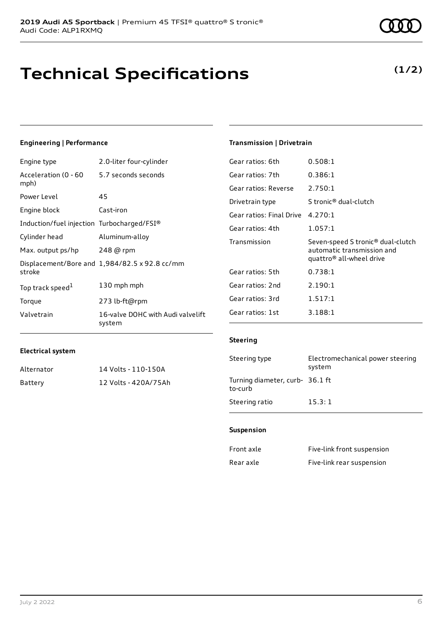# **Technical Specifications**

### **Engineering | Performance**

| Engine type                                | 2.0-liter four-cylinder                              |
|--------------------------------------------|------------------------------------------------------|
| Acceleration (0 - 60<br>mph)               | 5.7 seconds seconds                                  |
| Power Level                                | 45                                                   |
| Engine block                               | Cast-iron                                            |
| Induction/fuel injection Turbocharged/FSI® |                                                      |
| Cylinder head                              | Aluminum-alloy                                       |
| Max. output ps/hp                          | 248 @ rpm                                            |
| stroke                                     | Displacement/Bore and $1,984/82.5 \times 92.8$ cc/mm |
| Top track speed <sup>1</sup>               | 130 mph mph                                          |
| Torque                                     | 273 lb-ft@rpm                                        |
| Valvetrain                                 | 16-valve DOHC with Audi valvelift<br>system          |

### **Transmission | Drivetrain**

| Gear ratios: 6th         | 0.508:1                                                                                                             |
|--------------------------|---------------------------------------------------------------------------------------------------------------------|
| Gear ratios: 7th         | 0.386:1                                                                                                             |
| Gear ratios: Reverse     | 2.750:1                                                                                                             |
| Drivetrain type          | S tronic <sup>®</sup> dual-clutch                                                                                   |
| Gear ratios: Final Drive | 4.270:1                                                                                                             |
| Gear ratios: 4th         | 1.057:1                                                                                                             |
| Transmission             |                                                                                                                     |
|                          | Seven-speed S tronic <sup>®</sup> dual-clutch<br>automatic transmission and<br>quattro <sup>®</sup> all-wheel drive |
| Gear ratios: 5th         | 0.738:1                                                                                                             |
| Gear ratios: 2nd         | 2.190:1                                                                                                             |
| Gear ratios: 3rd         | 1.517:1                                                                                                             |
| Gear ratios: 1st         | 3.188:1                                                                                                             |

#### **Electrical system**

| Alternator | 14 Volts - 110-150A  |
|------------|----------------------|
| Battery    | 12 Volts - 420A/75Ah |

#### **Steering**

| Steering type                              | Electromechanical power steering<br>system |
|--------------------------------------------|--------------------------------------------|
| Turning diameter, curb- 36.1 ft<br>to-curb |                                            |
| Steering ratio                             | 15.3:1                                     |

### **Suspension**

| Front axle | Five-link front suspension |
|------------|----------------------------|
| Rear axle  | Five-link rear suspension  |

### **(1/2)**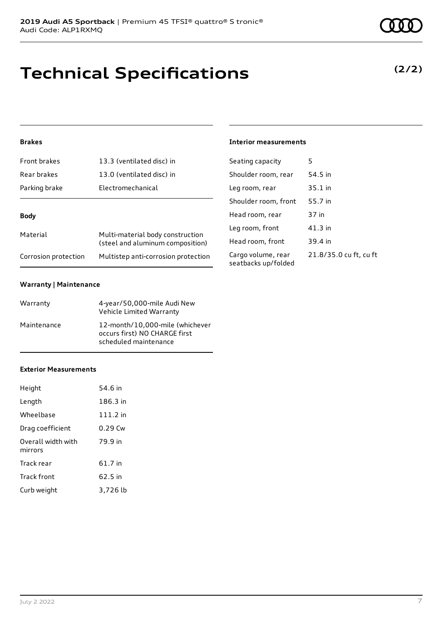# **Technical Specifications**

### **Brakes**

| Front brakes         | 13.3 (ventilated disc) in                                            |
|----------------------|----------------------------------------------------------------------|
| Rear brakes          | 13.0 (ventilated disc) in                                            |
| Parking brake        | Electromechanical                                                    |
| Body                 |                                                                      |
|                      |                                                                      |
| Material             | Multi-material body construction<br>(steel and aluminum composition) |
| Corrosion protection | Multistep anti-corrosion protection                                  |

### **Warranty | Maintenance**

| Warranty    | 4-year/50,000-mile Audi New<br>Vehicle Limited Warranty                                   |
|-------------|-------------------------------------------------------------------------------------------|
| Maintenance | 12-month/10,000-mile (whichever<br>occurs first) NO CHARGE first<br>scheduled maintenance |

#### **Exterior Measurements**

| Height                        | 54.6 in  |
|-------------------------------|----------|
| Length                        | 186.3 in |
| Wheelbase                     | 111.2 in |
| Drag coefficient              | 0.29 Cw  |
| Overall width with<br>mirrors | 79.9 in  |
| Track rear                    | 61.7 in  |
| Track front                   | 62.5 in  |
| Curb weight                   | 3,726 lb |

**(2/2)**

**Interior measurements**

| Seating capacity                          | 5                      |
|-------------------------------------------|------------------------|
| Shoulder room, rear                       | 54.5 in                |
| Leg room, rear                            | $35.1$ in              |
| Shoulder room, front                      | 55.7 in                |
| Head room, rear                           | 37 in                  |
| Leg room, front                           | $41.3$ in              |
| Head room, front                          | 39.4 in                |
| Cargo volume, rear<br>seatbacks up/folded | 21.8/35.0 cu ft, cu ft |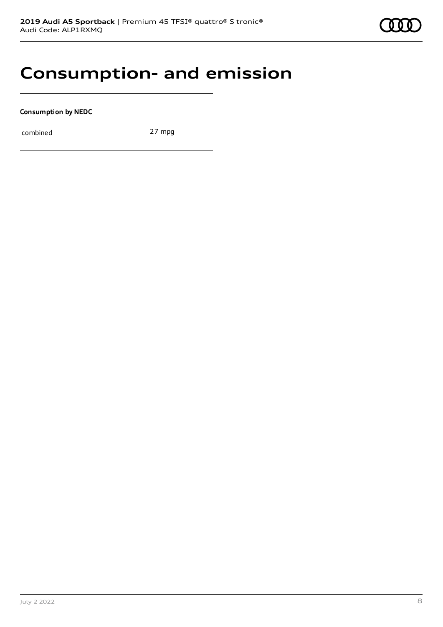## **Consumption- and emission**

**Consumption by NEDC**

combined 27 mpg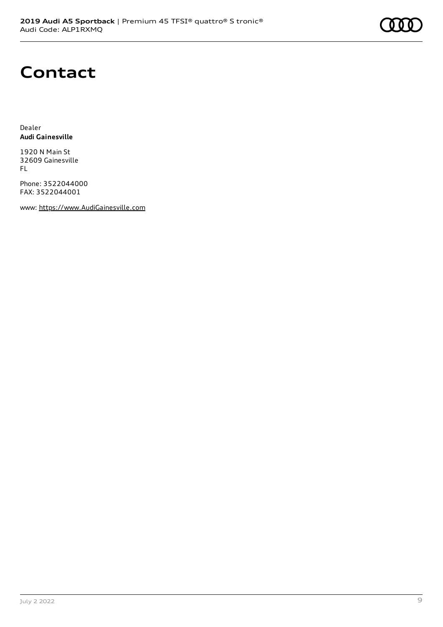

# **Contact**

Dealer **Audi Gainesville**

1920 N Main St 32609 Gainesville FL

Phone: 3522044000 FAX: 3522044001

www: [https://www.AudiGainesville.com](https://www.audigainesville.com/)